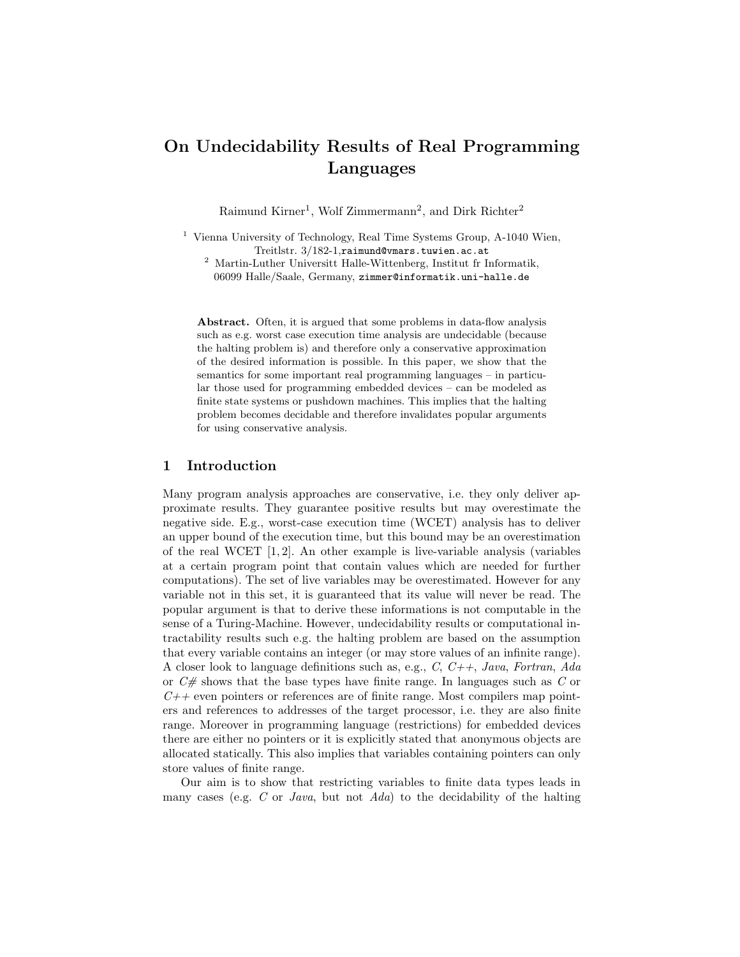# On Undecidability Results of Real Programming Languages

Raimund Kirner<sup>1</sup>, Wolf Zimmermann<sup>2</sup>, and Dirk Richter<sup>2</sup>

- <sup>1</sup> Vienna University of Technology, Real Time Systems Group, A-1040 Wien, Treitlstr. 3/182-1,raimund@vmars.tuwien.ac.at
	- $^2$ Martin-Luther Universitt Halle-Wittenberg, Institut fr Informatik, 06099 Halle/Saale, Germany, zimmer@informatik.uni-halle.de

Abstract. Often, it is argued that some problems in data-flow analysis such as e.g. worst case execution time analysis are undecidable (because the halting problem is) and therefore only a conservative approximation of the desired information is possible. In this paper, we show that the semantics for some important real programming languages – in particular those used for programming embedded devices – can be modeled as finite state systems or pushdown machines. This implies that the halting problem becomes decidable and therefore invalidates popular arguments for using conservative analysis.

# 1 Introduction

Many program analysis approaches are conservative, i.e. they only deliver approximate results. They guarantee positive results but may overestimate the negative side. E.g., worst-case execution time (WCET) analysis has to deliver an upper bound of the execution time, but this bound may be an overestimation of the real WCET  $[1, 2]$ . An other example is live-variable analysis (variables at a certain program point that contain values which are needed for further computations). The set of live variables may be overestimated. However for any variable not in this set, it is guaranteed that its value will never be read. The popular argument is that to derive these informations is not computable in the sense of a Turing-Machine. However, undecidability results or computational intractability results such e.g. the halting problem are based on the assumption that every variable contains an integer (or may store values of an infinite range). A closer look to language definitions such as, e.g.,  $C, C++, Java, Fortran, Ada$ or  $C \#$  shows that the base types have finite range. In languages such as C or  $C++$  even pointers or references are of finite range. Most compilers map pointers and references to addresses of the target processor, i.e. they are also finite range. Moreover in programming language (restrictions) for embedded devices there are either no pointers or it is explicitly stated that anonymous objects are allocated statically. This also implies that variables containing pointers can only store values of finite range.

Our aim is to show that restricting variables to finite data types leads in many cases (e.g. C or Java, but not Ada) to the decidability of the halting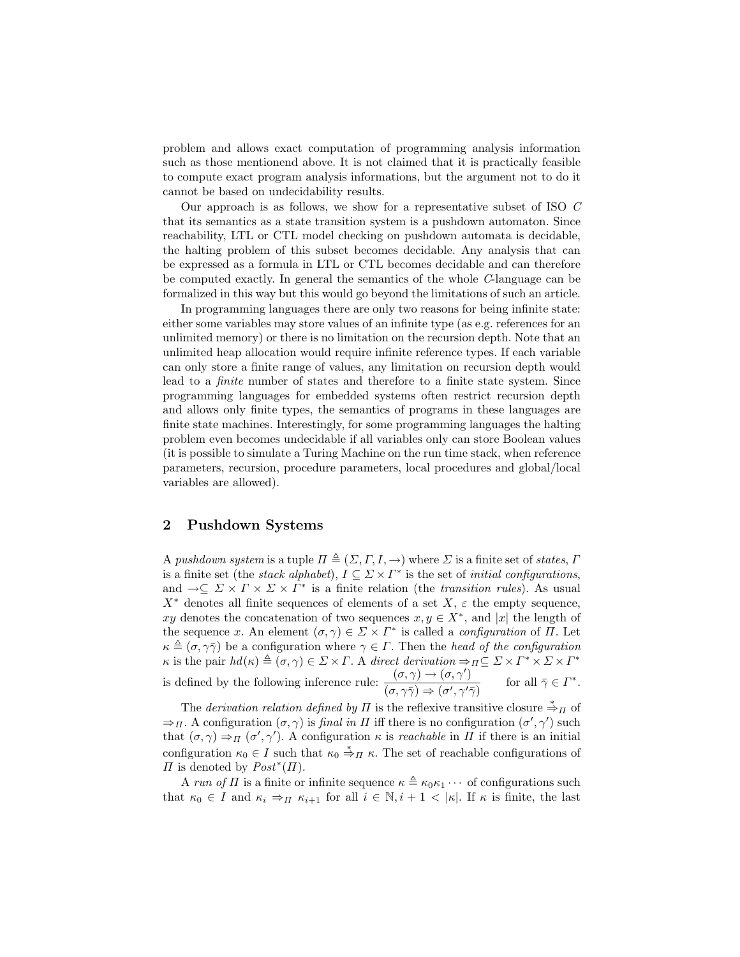problem and allows exact computation of programming analysis information such as those mentionend above. It is not claimed that it is practically feasible to compute exact program analysis informations, but the argument not to do it cannot be based on undecidability results.

Our approach is as follows, we show for a representative subset of ISO C that its semantics as a state transition system is a pushdown automaton. Since reachability, LTL or CTL model checking on pushdown automata is decidable, the halting problem of this subset becomes decidable. Any analysis that can be expressed as a formula in LTL or CTL becomes decidable and can therefore be computed exactly. In general the semantics of the whole C-language can be formalized in this way but this would go beyond the limitations of such an article.

In programming languages there are only two reasons for being infinite state: either some variables may store values of an infinite type (as e.g. references for an unlimited memory) or there is no limitation on the recursion depth. Note that an unlimited heap allocation would require infinite reference types. If each variable can only store a finite range of values, any limitation on recursion depth would lead to a finite number of states and therefore to a finite state system. Since programming languages for embedded systems often restrict recursion depth and allows only finite types, the semantics of programs in these languages are finite state machines. Interestingly, for some programming languages the halting problem even becomes undecidable if all variables only can store Boolean values (it is possible to simulate a Turing Machine on the run time stack, when reference parameters, recursion, procedure parameters, local procedures and global/local variables are allowed).

## 2 Pushdown Systems

A pushdown system is a tuple  $\Pi \triangleq (\Sigma, \Gamma, I, \rightarrow)$  where  $\Sigma$  is a finite set of states,  $\Gamma$ is a finite set (the *stack alphabet*),  $I \subseteq \Sigma \times \Gamma^*$  is the set of *initial configurations*, and  $\rightarrow \subseteq \Sigma \times \Gamma \times \Sigma \times \Gamma^*$  is a finite relation (the *transition rules*). As usual  $X^*$  denotes all finite sequences of elements of a set  $X$ ,  $\varepsilon$  the empty sequence, xy denotes the concatenation of two sequences  $x, y \in X^*$ , and |x| the length of the sequence x. An element  $(\sigma, \gamma) \in \Sigma \times \Gamma^*$  is called a *configuration* of  $\Pi$ . Let  $\kappa \triangleq (\sigma, \gamma \bar{\gamma})$  be a configuration where  $\gamma \in \Gamma$ . Then the head of the configuration  $\kappa$  is the pair  $hd(\kappa) \triangleq (\sigma, \gamma) \in \Sigma \times \Gamma$ . A direct derivation  $\Rightarrow_{\Pi} \subseteq \Sigma \times \Gamma^* \times \Sigma \times \Gamma^*$ is defined by the following inference rule:  $\frac{(\sigma, \gamma) \rightarrow (\sigma, \gamma')}{\sigma, \gamma}$  $\frac{(0,\gamma)\to(0,\gamma)}{(\sigma,\gamma\overline{\gamma})\Rightarrow(\sigma',\gamma'\overline{\gamma})}$  for all  $\overline{\gamma}\in\Gamma^*$ for all  $\bar{\gamma} \in \Gamma^*$ .

The *derivation relation defined by*  $\Pi$  is the reflexive transitive closure  $\stackrel{*}{\Rightarrow} \pi$  of  $\Rightarrow$  *π*. A configuration  $(\sigma, \gamma)$  is *final in Π* iff there is no configuration  $(\sigma', \gamma')$  such that  $(\sigma, \gamma) \Rightarrow_{\Pi} (\sigma', \gamma')$ . A configuration  $\kappa$  is *reachable* in  $\Pi$  if there is an initial configuration  $\kappa_0 \in I$  such that  $\kappa_0 \stackrel{*}{\Rightarrow} \pi \kappa$ . The set of reachable configurations of  $\Pi$  is denoted by  $Post^*(\Pi)$ .

A run of  $\Pi$  is a finite or infinite sequence  $\kappa \triangleq \kappa_0 \kappa_1 \cdots$  of configurations such that  $\kappa_0 \in I$  and  $\kappa_i \Rightarrow_{\Pi} \kappa_{i+1}$  for all  $i \in \mathbb{N}, i+1 < |\kappa|$ . If  $\kappa$  is finite, the last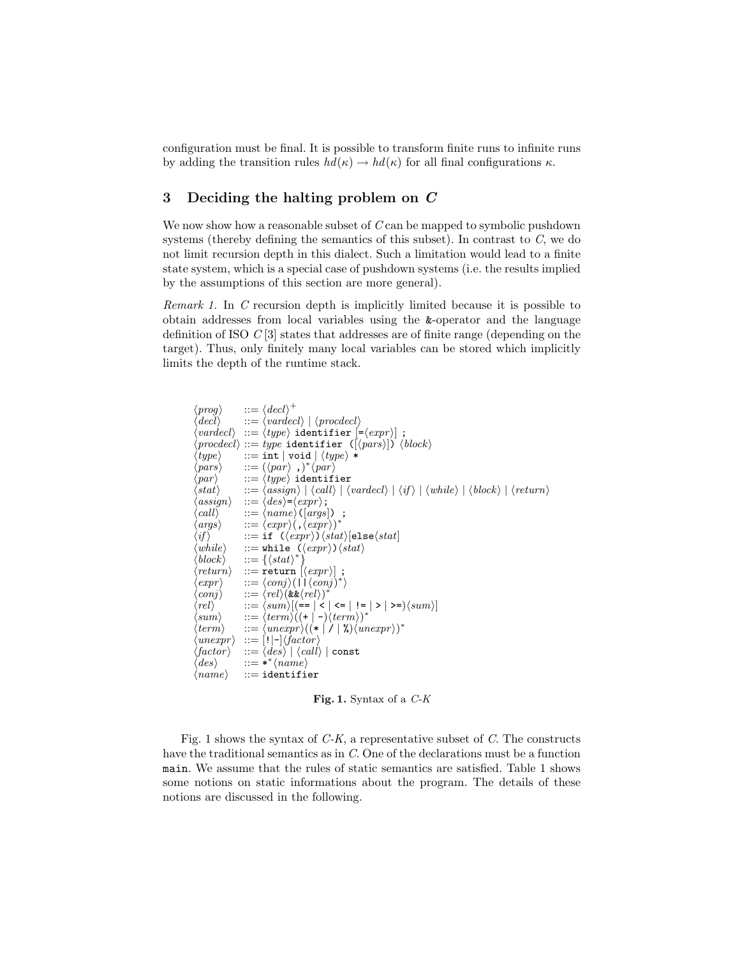configuration must be final. It is possible to transform finite runs to infinite runs by adding the transition rules  $hd(\kappa) \to hd(\kappa)$  for all final configurations  $\kappa$ .

# 3 Deciding the halting problem on C

We now show how a reasonable subset of  $C$  can be mapped to symbolic pushdown systems (thereby defining the semantics of this subset). In contrast to  $C$ , we do not limit recursion depth in this dialect. Such a limitation would lead to a finite state system, which is a special case of pushdown systems (i.e. the results implied by the assumptions of this section are more general).

Remark 1. In C recursion depth is implicitly limited because it is possible to obtain addresses from local variables using the &-operator and the language definition of ISO  $C[3]$  states that addresses are of finite range (depending on the target). Thus, only finitely many local variables can be stored which implicitly limits the depth of the runtime stack.

```
\langle prog \rangle ::= \langle decl \rangle^+\langle decl \rangle ::= \langle varieded \rangle | \langle proceded \rangle\langle \mathit{varded} \rangle \ ::= \langle \mathit{type} \rangle identifier \mathsf{[=}\langle \mathit{expr} \rangle] ;
\langle\textit{procedecl}\rangle ::= \textit{type}\ \texttt{identifier}\ \left(\left[\textit{(pars}\right]\right)\ \left\langle\textit{block}\right\rangle\ \langle\textit{type}\rangle\ :=\ \texttt{int}\ |\ \texttt{void}\ |\ \langle\textit{type}\rangle\ *\\mathbf{h} := \mathtt{int} | \mathtt{void} | \langle \mathit{type} \rangle | *\langle pars \rangle ::= (\langle par \rangle, \rangle^* \langle par \rangle\langle par \rangle ::= \langle type \rangle identifier<br>\langle stat \rangle ::= \langle assign \rangle | \langle call \rangle | \langleh := \langle assign \rangle | \langle call \rangle | \langle varieded \rangle | \langle if \rangle | \langle while \rangle | \langle block \rangle | \langle return \rangle\begin{array}{ll} \langle assign \rangle & ::= \langle des \rangle = \langle expr \rangle \, ; \ \langle call \rangle & ::= \langle name \rangle \, (|args \rangle) \end{array}\Rightarrow \langle name \rangle ([args]) ;
\langle args \rangle ::= \langle expr \rangle (, \langle expr \rangle)^*\begin{array}{lll} \langle if \rangle &::= \texttt{if} \ (\langle expr \rangle) \langle stat \rangle [\texttt{else} \langle stat \rangle]\ \langle while \rangle &::= \texttt{while} \ (\langle expr \rangle) \langle stat \rangle \end{array}\langle while \rangle \quad ::= \texttt{while } (\langle expr \rangle) \langle stat \rangle \ \langle block \rangle \quad ::= \{ \langle stat \rangle^* \}\langle block \rangle ::= \{ \langle stat \rangle^* \}\langle return \rangle ::= return [\langle expr \rangle]\langle expr \rangle ::= \langle conj \rangle (|\Gamma \langle conj \rangle^*)\langle conj \rangle ::= \langle rel \rangle (&&\langle rel \rangle )^*\langle rel \rangle ::= \langle sum \rangle [(== | < | <= | != | > | >=)\langle sum \rangle]
\langle sum \rangle ::= \langle term \rangle ((+ | -) \langle term \rangle)^*\langle term \rangle ::= \langle unexpr \rangle ((\ast \hat{1} \mid \lambda) \langle unexpr \rangle)^*\begin{array}{ll} \langle unexpr \rangle & ::= [\, ! \, | \text{--} \rangle \langle factor \rangle \ \langle factor \rangle & ::= \langle des \rangle \mid \langle call \rangle \end{array}\langle \text{factor} \rangle ::= \langle \text{des} \rangle | \langle \text{call} \rangle | \text{const}<br>\langle \text{des} \rangle ::= ** \langle \text{name} \rangle\langle des \rangle ::= ** \langle name \rangle\langle name \rangle ::= identifier
```
Fig. 1. Syntax of a  $C-K$ 

Fig. 1 shows the syntax of  $C-K$ , a representative subset of C. The constructs have the traditional semantics as in C. One of the declarations must be a function main. We assume that the rules of static semantics are satisfied. Table 1 shows some notions on static informations about the program. The details of these notions are discussed in the following.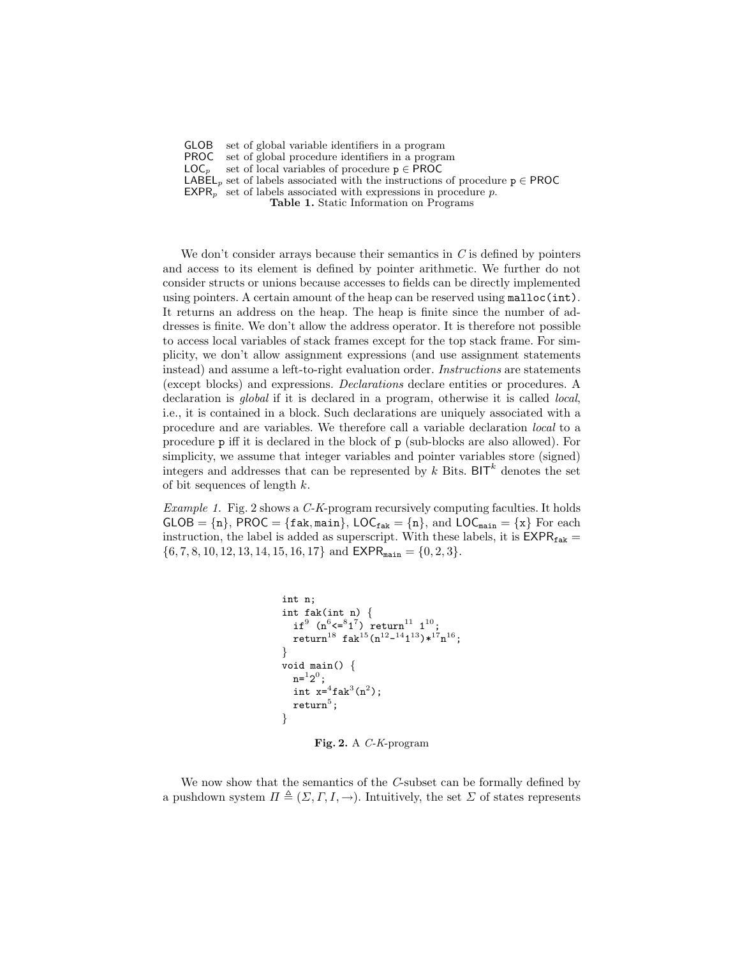GLOB set of global variable identifiers in a program

**PROC** set of global procedure identifiers in a program  $LOG_n$  set of local variables of procedure  $p \in PROC$ 

set of local variables of procedure  $p \in \text{PROC}$ 

LABEL<sub>p</sub> set of labels associated with the instructions of procedure  $p \in \text{PROC}$ 

 $EXPR<sub>p</sub>$  set of labels associated with expressions in procedure p.

Table 1. Static Information on Programs

We don't consider arrays because their semantics in  $C$  is defined by pointers and access to its element is defined by pointer arithmetic. We further do not consider structs or unions because accesses to fields can be directly implemented using pointers. A certain amount of the heap can be reserved using malloc(int). It returns an address on the heap. The heap is finite since the number of addresses is finite. We don't allow the address operator. It is therefore not possible to access local variables of stack frames except for the top stack frame. For simplicity, we don't allow assignment expressions (and use assignment statements instead) and assume a left-to-right evaluation order. *Instructions* are statements (except blocks) and expressions. Declarations declare entities or procedures. A declaration is *global* if it is declared in a program, otherwise it is called *local*, i.e., it is contained in a block. Such declarations are uniquely associated with a procedure and are variables. We therefore call a variable declaration local to a procedure p iff it is declared in the block of p (sub-blocks are also allowed). For simplicity, we assume that integer variables and pointer variables store (signed) integers and addresses that can be represented by k Bits. BIT<sup>k</sup> denotes the set of bit sequences of length  $k$ .

Example 1. Fig. 2 shows a C-K-program recursively computing faculties. It holds  $GLOB = {n}$ , PROC = { $fak, main$ },  $LOC_{fak} = {n}$ , and  $LOC_{main} = {x}$  For each instruction, the label is added as superscript. With these labels, it is  $\text{EXPR}_{\text{fake}} =$  $\{6, 7, 8, 10, 12, 13, 14, 15, 16, 17\}$  and  $\text{EXPR}_{\text{main}} = \{0, 2, 3\}.$ 

```
int n;
int fak(int n) {
     if^9 (n<sup>6</sup> <= 81^7) return<sup>11</sup> 1<sup>10</sup>;
     \text{return}^{18} \text{fak}^{15}(\text{n}^{12}-^{14}\text{1}^{13})*^{17}\text{n}^{16};
}
void main() {
     n = 12^0;int x = 4 fak<sup>3</sup>(n<sup>2</sup>);
     \texttt{return}^5 ;
}
```
Fig. 2. A C-K-program

We now show that the semantics of the C-subset can be formally defined by a pushdown system  $\Pi \triangleq (\Sigma, \Gamma, I, \rightarrow)$ . Intuitively, the set  $\Sigma$  of states represents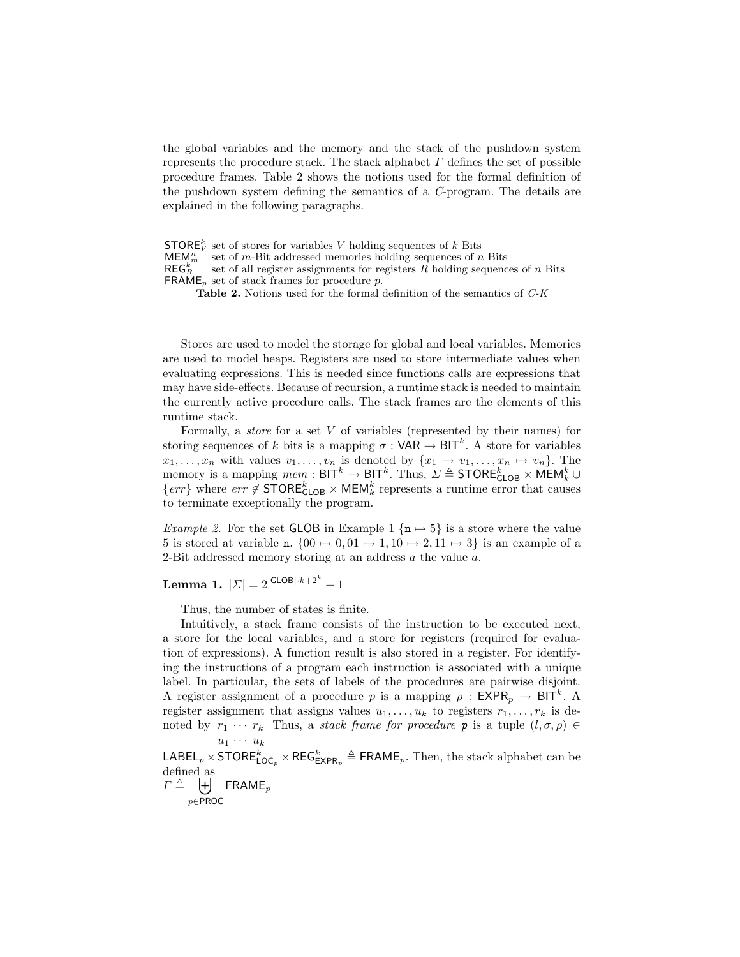the global variables and the memory and the stack of the pushdown system represents the procedure stack. The stack alphabet  $\Gamma$  defines the set of possible procedure frames. Table 2 shows the notions used for the formal definition of the pushdown system defining the semantics of a C-program. The details are explained in the following paragraphs.

**STORE**<sup>k</sup> set of stores for variables V holding sequences of k Bits  $\textsf{MEM}_m^n$  set of m-Bit addressed memories holding sequences of n Bits  $\mathsf{REG}^k_F$ set of all register assignments for registers  $R$  holding sequences of  $n$  Bits FRAME<sub>p</sub> set of stack frames for procedure p.

Table 2. Notions used for the formal definition of the semantics of  $C-K$ 

Stores are used to model the storage for global and local variables. Memories are used to model heaps. Registers are used to store intermediate values when evaluating expressions. This is needed since functions calls are expressions that may have side-effects. Because of recursion, a runtime stack is needed to maintain the currently active procedure calls. The stack frames are the elements of this runtime stack.

Formally, a *store* for a set  $V$  of variables (represented by their names) for storing sequences of k bits is a mapping  $\sigma : \mathsf{VAR} \to \mathsf{BIT}^k$ . A store for variables  $x_1, \ldots, x_n$  with values  $v_1, \ldots, v_n$  is denoted by  $\{x_1 \mapsto v_1, \ldots, x_n \mapsto v_n\}$ . The memory is a mapping  $\textit{mem} : \textsf{BIT}^k \to \textsf{BIT}^k$ . Thus,  $\Sigma \triangleq \textsf{STORE}_{\textsf{GLOB}}^k \times \textsf{MEM}_k^k \cup$  $\{err\}$  where  $err \notin \text{STORE}_{\text{GLOB}}^k \times \text{MEM}_k^k$  represents a runtime error that causes to terminate exceptionally the program.

*Example 2.* For the set GLOB in Example 1 { $n \mapsto 5$ } is a store where the value 5 is stored at variable n.  $\{00 \mapsto 0, 01 \mapsto 1, 10 \mapsto 2, 11 \mapsto 3\}$  is an example of a 2-Bit addressed memory storing at an address a the value a.

Lemma 1.  $|\Sigma|=2^{|\mathsf{GLOB}|\cdot k+2^k}+1$ 

Thus, the number of states is finite.

Intuitively, a stack frame consists of the instruction to be executed next, a store for the local variables, and a store for registers (required for evaluation of expressions). A function result is also stored in a register. For identifying the instructions of a program each instruction is associated with a unique label. In particular, the sets of labels of the procedures are pairwise disjoint. A register assignment of a procedure p is a mapping  $\rho$  :  $\mathsf{EXPR}_p \to \mathsf{BIT}^k$ . A register assignment that assigns values  $u_1, \ldots, u_k$  to registers  $r_1, \ldots, r_k$  is denoted by  $r_1 | \cdots | r_k$  $u_1 \vert \cdots \vert u_k$ Thus, a *stack frame for procedure* **p** is a tuple  $(l, \sigma, \rho) \in$ 

 $\mathsf{LABEL}_p \times \mathsf{STORE}_{\mathsf{LOC}_p}^k \times \mathsf{REG}^k_{\mathsf{EXPR}_p} \triangleq \mathsf{FRAME}_p.$  Then, the stack alphabet can be defined as

 $\Gamma \triangleq \begin{bmatrix} + \end{bmatrix}$  FRAME<sub>p</sub> p∈PROC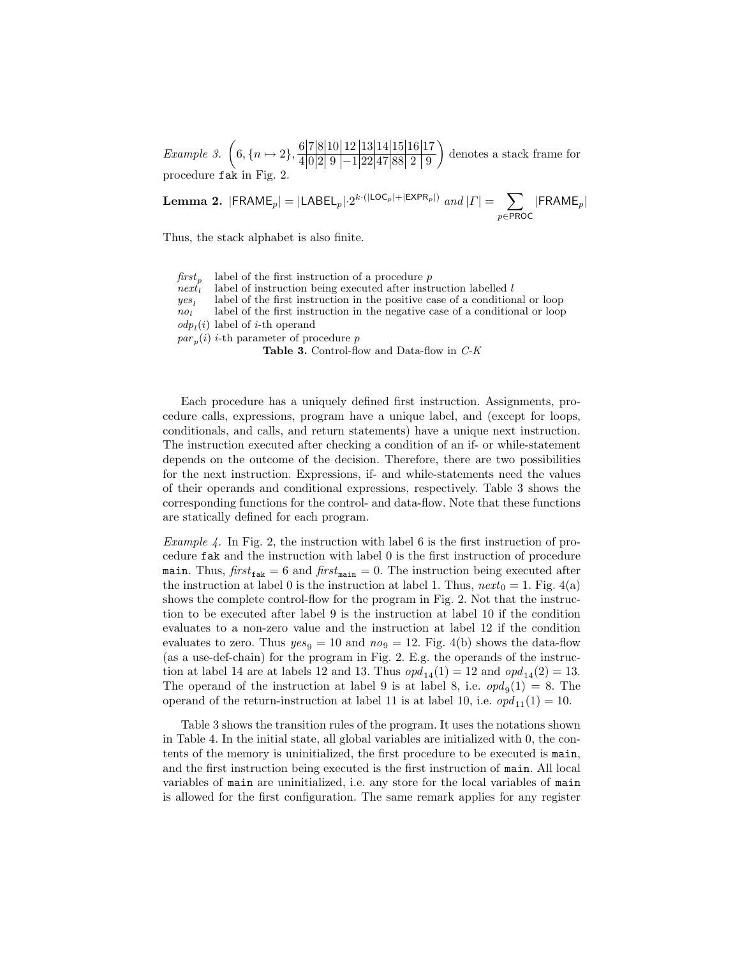Example 3.  $\left(6, \{n \mapsto 2\}, \frac{6|7|8|10|12|13|14|15|16|17}{4|0010|11|00|47|00|01|00} \right)$ 4 0 2 9 −1 22 47 88 2 9 denotes a stack frame for procedure fak in Fig. 2.

**Lemma 2.** 
$$
|\mathsf{FRAME}_p| = |\mathsf{LABEL}_p| \cdot 2^{k \cdot (|\mathsf{LOC}_p| + |\mathsf{EXPR}_p|)} \text{ and } |\Gamma| = \sum_{p \in \mathsf{PROC}} |\mathsf{FRAME}_p|
$$

Thus, the stack alphabet is also finite.

 $first_p$ <br>next label of the first instruction of a procedure  $p$ label of instruction being executed after instruction labelled  $l$  $\frac{yes_l}{no_l}$ label of the first instruction in the positive case of a conditional or loop label of the first instruction in the negative case of a conditional or loop  $odp<sub>l</sub>(i)$  label of *i*-th operand  $par_p(i)$  *i*-th parameter of procedure p Table 3. Control-flow and Data-flow in  $C-K$ 

Each procedure has a uniquely defined first instruction. Assignments, procedure calls, expressions, program have a unique label, and (except for loops, conditionals, and calls, and return statements) have a unique next instruction. The instruction executed after checking a condition of an if- or while-statement depends on the outcome of the decision. Therefore, there are two possibilities for the next instruction. Expressions, if- and while-statements need the values of their operands and conditional expressions, respectively. Table 3 shows the corresponding functions for the control- and data-flow. Note that these functions are statically defined for each program.

*Example 4.* In Fig. 2, the instruction with label 6 is the first instruction of procedure fak and the instruction with label 0 is the first instruction of procedure main. Thus,  $first_{\text{fake}} = 6$  and  $first_{\text{main}} = 0$ . The instruction being executed after the instruction at label 0 is the instruction at label 1. Thus,  $next_0 = 1$ . Fig. 4(a) shows the complete control-flow for the program in Fig. 2. Not that the instruction to be executed after label 9 is the instruction at label 10 if the condition evaluates to a non-zero value and the instruction at label 12 if the condition evaluates to zero. Thus  $yes_9 = 10$  and  $no_9 = 12$ . Fig. 4(b) shows the data-flow (as a use-def-chain) for the program in Fig. 2. E.g. the operands of the instruction at label 14 are at labels 12 and 13. Thus  $opd_{14}(1) = 12$  and  $opd_{14}(2) = 13$ . The operand of the instruction at label 9 is at label 8, i.e.  $opd_9(1) = 8$ . The operand of the return-instruction at label 11 is at label 10, i.e.  $\varphi p d_{11}(1) = 10$ .

Table 3 shows the transition rules of the program. It uses the notations shown in Table 4. In the initial state, all global variables are initialized with 0, the contents of the memory is uninitialized, the first procedure to be executed is main, and the first instruction being executed is the first instruction of main. All local variables of main are uninitialized, i.e. any store for the local variables of main is allowed for the first configuration. The same remark applies for any register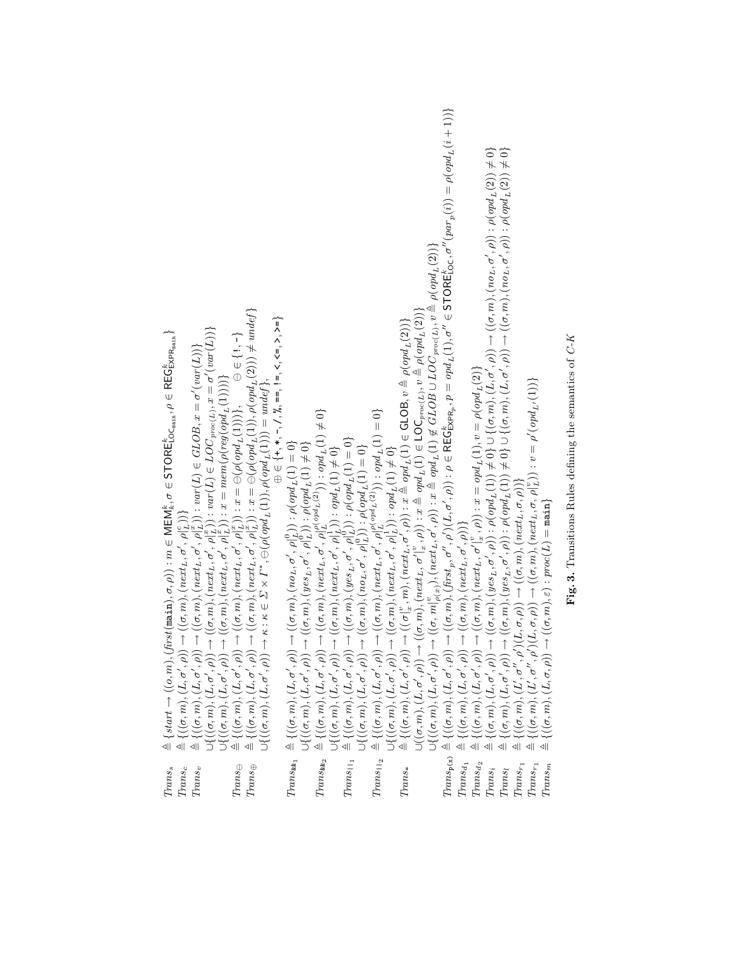| $\triangleq \{statart \rightarrow ((o,m),(first(\texttt{main}),\sigma,\rho)): m \in \mathsf{MEM}_\kappa^\kappa, \sigma \in \mathsf{STORECoc}_{\texttt{main}}, \rho \in \mathsf{REGEx}_{\mathsf{Pmax}}^\kappa\}$ |                          | $\rightarrow ((\sigma,m),(next_L,\sigma',\rho _L^x))$ : $x = \ominus(\rho(opt_L(1)),\rho(opt_L(2))) \neq undef\}$ | $\oplus \in \{\texttt{+},\texttt{*},\texttt{-},\texttt{/},\texttt{?}\!\!\!0,\texttt{==},\texttt{!=},\texttt{<},\texttt{<=},\texttt{>},\texttt{>=}\}$<br>$\begin{array}{c} \triangleq \{((\sigma,m),(L,\sigma',\rho)) \rightarrow ((\sigma,m),(\operatorname{next}_L,\sigma',\rho _L)\}_I \\ \triangleq \{((\sigma,m),(L,\sigma',\rho)) \rightarrow ((\sigma,m),(\operatorname{next}_L,\sigma',\rho _L^T)) : \operatorname{var}(L) \in GLOB, x = \sigma'(\operatorname{var}(L))\} \\ \triangleq \{((\sigma,m),(L,\sigma',\rho)) \rightarrow ((\sigma,m),(\operatorname{next}_L,\sigma',\rho _L^T)) : \operatorname{var}(L) \in LOC_{pro(L)}, x = \sigma'(\operatorname{var}(L))\} \\ \cup \{((\sigma,m),(L,\sigma',\rho)) \rightarrow ((\sigma,m),(\$ | $\begin{array}{lll} \textit{Trans}_{\textit{\textbf{a}}_1}&\triangleq\{((\sigma,m),(L,\sigma',\rho))\rightarrow((\sigma,m),(no_L,\sigma',\rho^{\prime}_L))\,:\,\rho(opd_L(1)=0\}\\ &\cup\{((\sigma,m),(L,\sigma',\rho))\rightarrow((\sigma,m),(yes_L,\sigma',\rho^{\prime}_L))\,:\,\rho(opd_L(1)\neq 0\} \end{array}$ |                | $\begin{array}{ll} &\triangleq \{((\sigma,m),(L,\sigma',\rho))\rightarrow ((\sigma,m),(next_l,\sigma',\rho'_{L}](c_{2}\dot{m}^{1}c_{2}\dot{m}^{1})^{-};\ \dot{\phi}pd_{L}(1)\neq 0\}\\ &\triangleq \{((\sigma,m),(L,\sigma',\rho))\rightarrow ((\sigma,m),(next_l,\sigma',\rho^{1}_{L})): \ \phipd_{L}(1)\neq 0\}\\ &\triangleq \{((\sigma,m),(L,\sigma',\rho))\rightarrow ((\sigma,m),(west_l,\sigma',\rho^{1}_{L})): \ \rho(\phipd_{L}(1)=0\}\\ &\triangleq \{((\sigma,m),(L,\sigma',\rho))\rightarrow ((\sigma,m),(next_l,\sigma$ |                 |                           | $\rightarrow ((\sigma,m),(first_p,\sigma'',\rho')(L,\sigma',\rho)) : \rho \in \mathsf{REG}^k_\mathsf{CRPR_p}, p = \mathit{opd}_L(1), \sigma'' \in \mathsf{STORE}^k_\mathsf{LOC}, \sigma''(\mathit{par}_p(i)) = \rho(\mathit{opd}_L(i+1)) \}$ |               | $\rightarrow ((\sigma,m),(yes_L,\sigma',\rho)) : \rho (opd_L(1)) \neq 0 \} \cup \{(\sigma,m), (L,\sigma',\rho)) \rightarrow ((\sigma,m), (no_L,\sigma',\rho)) : \rho (opd_L(2)) \neq 0 \}$<br>$\rightarrow ((\sigma,m), (yes_L, \sigma',\rho)) : \rho(opd_L(1)) \neq 0 \} \cup \{(\sigma,m), (L, \sigma',\rho)) \rightarrow ((\sigma,m), (no_L, \sigma',\rho)) : \rho(opd_L(2)) \neq 0 \}$<br>$\begin{array}{ll} &\triangleq\{((\sigma,m),(L,\sigma',\rho))\rightarrow ((\sigma,m),(\operatorname{first}_p,\sigma',\rho')(L,\sigma',\rho)):\rho\in\mathsf{REG}^\mathsf{c}_{\mathsf{KFR}_p},p=\mathit{opd}(\sigma,m),(L,\sigma',\rho))\rightarrow ((\sigma,m),(\operatorname{next}_L,\sigma',\rho')):\rho\in\mathsf{REG}^\mathsf{c}_{\mathsf{KFR}_p},p=\mathit{opd}(\sigma,m),(L,\sigma',\rho))\rightarrow ((\sigma,m),(\operatorname{next}_L,\sigma' _\mathsf{a}^*)):\varnothing=\{((\sigma,m),(L,\sigma',\rho))\rightarrow ((\sigma,m),(\operatorname{get}_L,\sigma'),\$ |           |
|-----------------------------------------------------------------------------------------------------------------------------------------------------------------------------------------------------------------|--------------------------|-------------------------------------------------------------------------------------------------------------------|------------------------------------------------------------------------------------------------------------------------------------------------------------------------------------------------------------------------------------------------------------------------------------------------------------------------------------------------------------------------------------------------------------------------------------------------------------------------------------------------------------------------------------------------------------------------------------------------------------------------------------------------------------------------------------------------------------------------------------------------------|-----------------------------------------------------------------------------------------------------------------------------------------------------------------------------------------------------------------------------------------------------------------------------------------------------------------------|----------------|--------------------------------------------------------------------------------------------------------------------------------------------------------------------------------------------------------------------------------------------------------------------------------------------------------------------------------------------------------------------------------------------------------------------------------------------------------------------------------------------------------------------------------------|-----------------|---------------------------|----------------------------------------------------------------------------------------------------------------------------------------------------------------------------------------------------------------------------------------------|---------------|---------------------------------------------------------------------------------------------------------------------------------------------------------------------------------------------------------------------------------------------------------------------------------------------------------------------------------------------------------------------------------------------------------------------------------------------------------------------------------------------------------------------------------------------------------------------------------------------------------------------------------------------------------------------------------------------------------------------------------------------------------------------------------------------------------------------------------------------------------------------------------------------------------------------------------------------------------------------------|-----------|
| $Trans_{s}$                                                                                                                                                                                                     | $Trans_v$<br>$Trans_{c}$ | $Trans_\ominus$<br>$Trans_\oplus$                                                                                 |                                                                                                                                                                                                                                                                                                                                                                                                                                                                                                                                                                                                                                                                                                                                                      |                                                                                                                                                                                                                                                                                                                       | $Trans_{kk_2}$ | $Trans_{\square_1}$                                                                                                                                                                                                                                                                                                                                                                                                                                                                                                                  | $Trans_{112}$ : | $Trans\text{\textendash}$ | $Trans_{\mathbf{p}(\mathbf{x})}$<br>$Trans_{d_1}$                                                                                                                                                                                            | $Trans_{d_2}$ | $Trans_{r_1}$<br>$Trans_{r_1}$<br>$Trans_i$<br>$Trans_l$                                                                                                                                                                                                                                                                                                                                                                                                                                                                                                                                                                                                                                                                                                                                                                                                                                                                                                                  | $Trans_m$ |

Fig. 3. Transitions Rules defining the semantics of  $C\text{-}K$ **Fig. 3.** Transitions Rules defining the semantics of  $C$ -K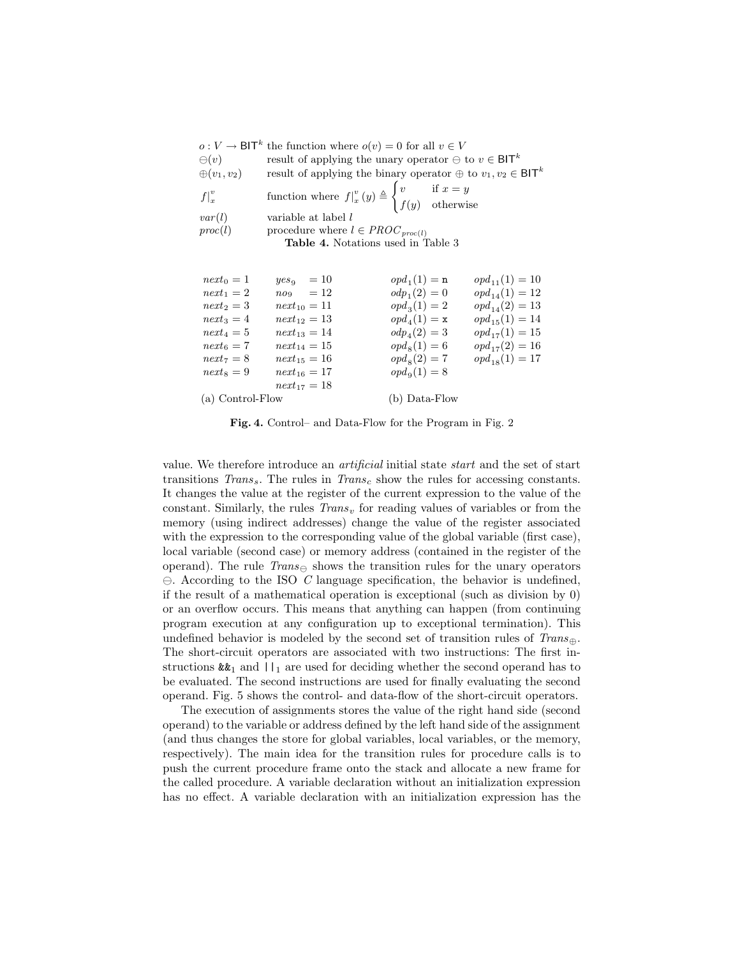|                            | $o: V \to \mathsf{BIT}^k$ the function where $o(v) = 0$ for all $v \in V$                                                                    |                         |                    |
|----------------------------|----------------------------------------------------------------------------------------------------------------------------------------------|-------------------------|--------------------|
| $\ominus$ ( <i>v</i> )     | result of applying the unary operator $\ominus$ to $v \in \mathsf{BIT}^k$                                                                    |                         |                    |
| $\oplus (v_1, v_2)$        | result of applying the binary operator $\oplus$ to $v_1, v_2 \in \mathsf{BIT}^k$                                                             |                         |                    |
| $f\vert_{x}^{v}$<br>var(l) | function where $f\vert_x^v(y) \triangleq \begin{cases} v & \text{if } x = y \\ f(y) & \text{otherwise} \end{cases}$<br>variable at label $l$ |                         |                    |
| proc(l)                    | procedure where $l \in PROC_{proc(l)}$                                                                                                       |                         |                    |
|                            | <b>Table 4.</b> Notations used in Table 3                                                                                                    |                         |                    |
|                            |                                                                                                                                              |                         |                    |
| $next_0 = 1$               | $yes_9 = 10$                                                                                                                                 | $opd1(1) = n$           | $opd_{11}(1) = 10$ |
| $next_1 = 2$               | $no_9 = 12$                                                                                                                                  | $\omega_{p_1}(2) = 0$   | $opd_{14}(1) = 12$ |
| $next_2 = 3$               | $next_{10} = 11$                                                                                                                             | $opd_3(1) = 2$          | $opd_{14}(2) = 13$ |
| $next_3 = 4$               | $next_{12} = 13$                                                                                                                             | $opd4(1) = x$           | $opd_{15}(1) = 14$ |
| $next_4 = 5$               | $next_{13} = 14$                                                                                                                             | $\omega_{\mu_4}(2) = 3$ | $opd_{17}(1) = 15$ |
| $next_6 = 7$               | $next_{14} = 15$                                                                                                                             | $opd_8(1) = 6$          | $opd_{17}(2) = 16$ |
| $next_7 = 8$               | $next_{15} = 16$                                                                                                                             | $opd_8(2) = 7$          | $opd_{18}(1) = 17$ |
| $next_8 = 9$               | $next_{16} = 17$                                                                                                                             | $opd9(1) = 8$           |                    |
|                            | $next_{17} = 18$                                                                                                                             |                         |                    |
| (a) Control-Flow           |                                                                                                                                              | (b) Data-Flow           |                    |
|                            |                                                                                                                                              |                         |                    |

Fig. 4. Control– and Data-Flow for the Program in Fig. 2

value. We therefore introduce an artificial initial state start and the set of start transitions  $Trans<sub>s</sub>$ . The rules in  $Trans<sub>c</sub>$  show the rules for accessing constants. It changes the value at the register of the current expression to the value of the constant. Similarly, the rules  $Trans<sub>v</sub>$  for reading values of variables or from the memory (using indirect addresses) change the value of the register associated with the expression to the corresponding value of the global variable (first case), local variable (second case) or memory address (contained in the register of the operand). The rule  $Trans_{\ominus}$  shows the transition rules for the unary operators  $\ominus$ . According to the ISO C language specification, the behavior is undefined, if the result of a mathematical operation is exceptional (such as division by 0) or an overflow occurs. This means that anything can happen (from continuing program execution at any configuration up to exceptional termination). This undefined behavior is modeled by the second set of transition rules of  $Trans_{\oplus}$ . The short-circuit operators are associated with two instructions: The first instructions  $\&\&_1$  and  $||_1$  are used for deciding whether the second operand has to be evaluated. The second instructions are used for finally evaluating the second operand. Fig. 5 shows the control- and data-flow of the short-circuit operators.

The execution of assignments stores the value of the right hand side (second operand) to the variable or address defined by the left hand side of the assignment (and thus changes the store for global variables, local variables, or the memory, respectively). The main idea for the transition rules for procedure calls is to push the current procedure frame onto the stack and allocate a new frame for the called procedure. A variable declaration without an initialization expression has no effect. A variable declaration with an initialization expression has the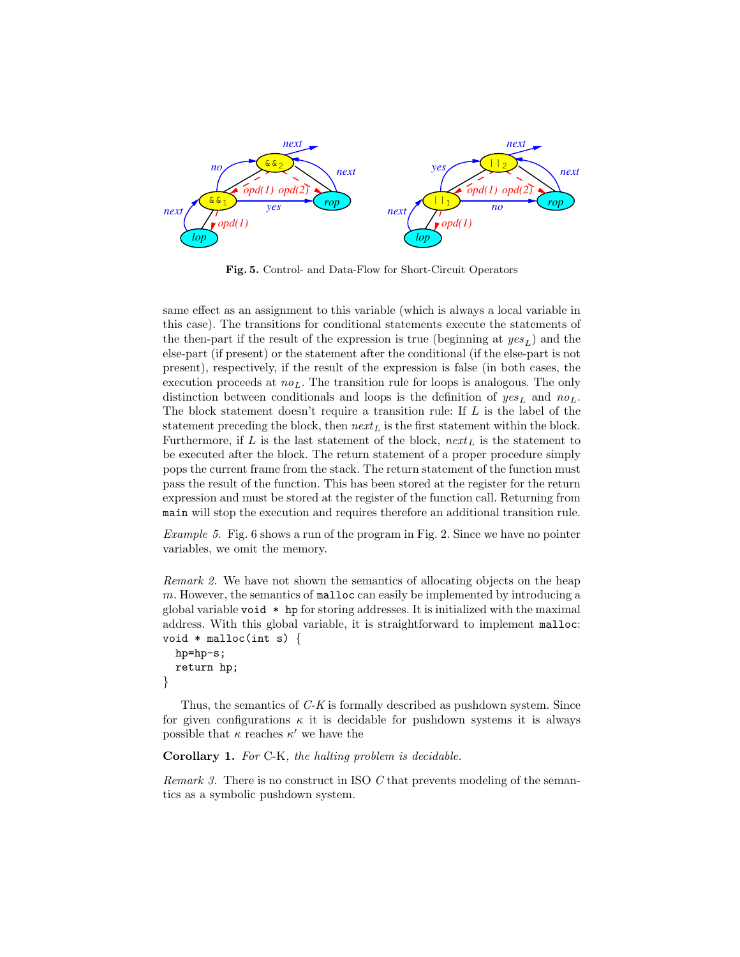

Fig. 5. Control- and Data-Flow for Short-Circuit Operators

same effect as an assignment to this variable (which is always a local variable in this case). The transitions for conditional statements execute the statements of the then-part if the result of the expression is true (beginning at  $yes<sub>L</sub>$ ) and the else-part (if present) or the statement after the conditional (if the else-part is not present), respectively, if the result of the expression is false (in both cases, the execution proceeds at  $no<sub>L</sub>$ . The transition rule for loops is analogous. The only distinction between conditionals and loops is the definition of  $yes<sub>L</sub>$  and  $no<sub>L</sub>$ . The block statement doesn't require a transition rule: If L is the label of the statement preceding the block, then  $next_L$  is the first statement within the block. Furthermore, if L is the last statement of the block,  $next_L$  is the statement to be executed after the block. The return statement of a proper procedure simply pops the current frame from the stack. The return statement of the function must pass the result of the function. This has been stored at the register for the return expression and must be stored at the register of the function call. Returning from main will stop the execution and requires therefore an additional transition rule.

Example 5. Fig. 6 shows a run of the program in Fig. 2. Since we have no pointer variables, we omit the memory.

Remark 2. We have not shown the semantics of allocating objects on the heap m. However, the semantics of malloc can easily be implemented by introducing a global variable void \* hp for storing addresses. It is initialized with the maximal address. With this global variable, it is straightforward to implement malloc: void  $*$  malloc(int s) {

```
hp=hp-s;
  return hp;
}
```
Thus, the semantics of C-K is formally described as pushdown system. Since for given configurations  $\kappa$  it is decidable for pushdown systems it is always possible that  $\kappa$  reaches  $\kappa'$  we have the

Corollary 1. For C-K, the halting problem is decidable.

Remark 3. There is no construct in ISO C that prevents modeling of the semantics as a symbolic pushdown system.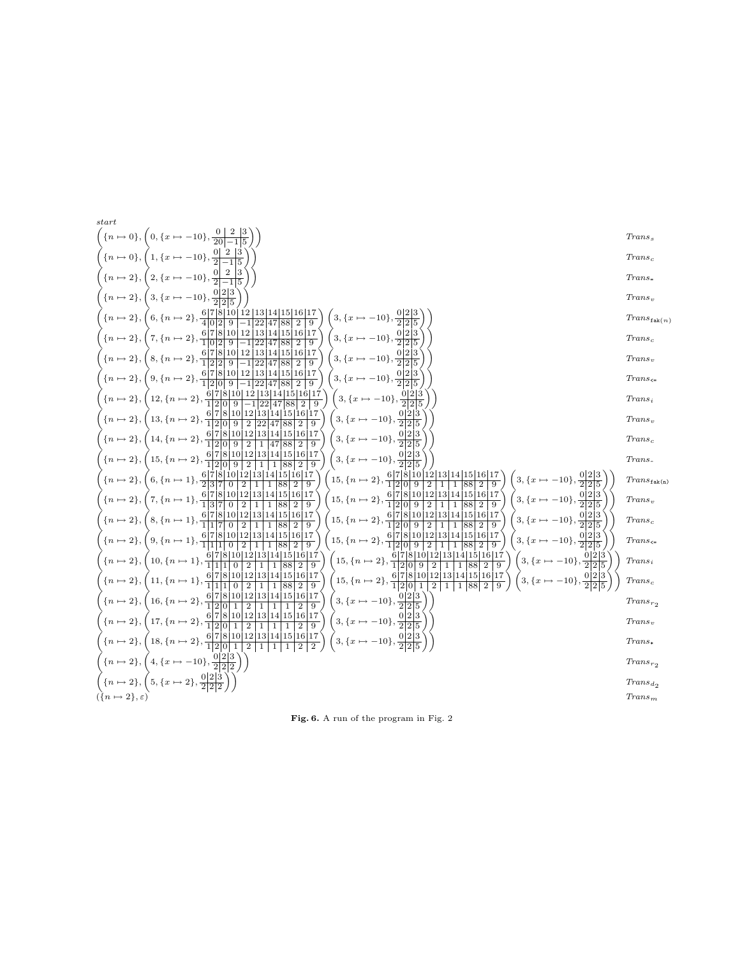

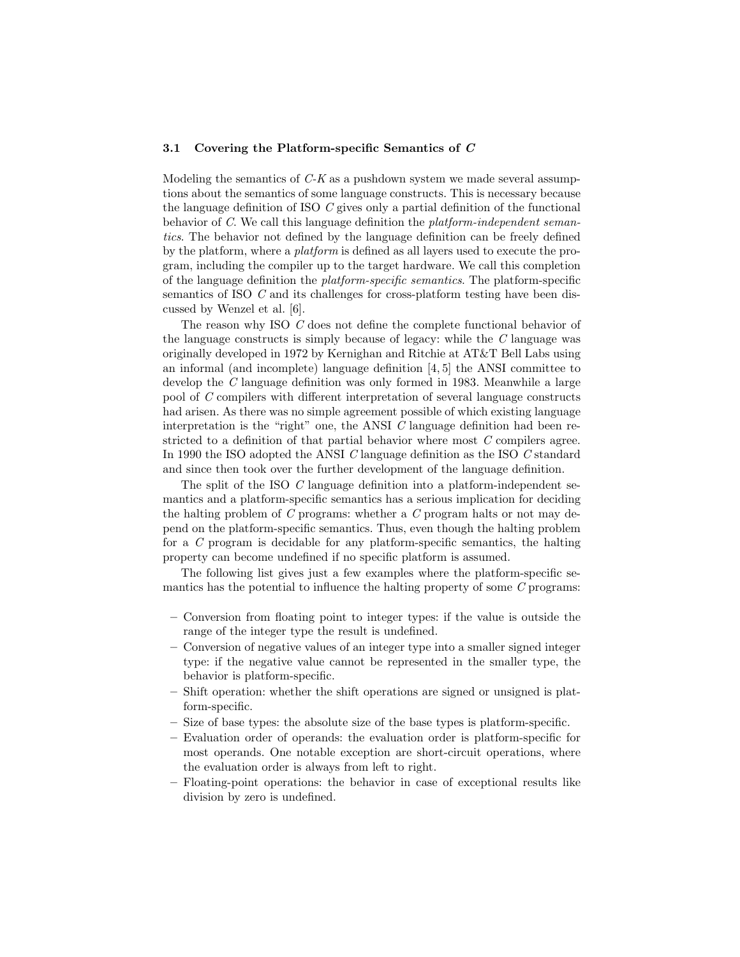#### 3.1 Covering the Platform-specific Semantics of C

Modeling the semantics of  $C-K$  as a pushdown system we made several assumptions about the semantics of some language constructs. This is necessary because the language definition of ISO C gives only a partial definition of the functional behavior of C. We call this language definition the platform-independent semantics. The behavior not defined by the language definition can be freely defined by the platform, where a platform is defined as all layers used to execute the program, including the compiler up to the target hardware. We call this completion of the language definition the platform-specific semantics. The platform-specific semantics of ISO C and its challenges for cross-platform testing have been discussed by Wenzel et al. [6].

The reason why ISO C does not define the complete functional behavior of the language constructs is simply because of legacy: while the  $C$  language was originally developed in 1972 by Kernighan and Ritchie at AT&T Bell Labs using an informal (and incomplete) language definition [4, 5] the ANSI committee to develop the C language definition was only formed in 1983. Meanwhile a large pool of C compilers with different interpretation of several language constructs had arisen. As there was no simple agreement possible of which existing language interpretation is the "right" one, the ANSI  $C$  language definition had been restricted to a definition of that partial behavior where most C compilers agree. In 1990 the ISO adopted the ANSI C language definition as the ISO C standard and since then took over the further development of the language definition.

The split of the ISO C language definition into a platform-independent semantics and a platform-specific semantics has a serious implication for deciding the halting problem of C programs: whether a C program halts or not may depend on the platform-specific semantics. Thus, even though the halting problem for a C program is decidable for any platform-specific semantics, the halting property can become undefined if no specific platform is assumed.

The following list gives just a few examples where the platform-specific semantics has the potential to influence the halting property of some C programs:

- Conversion from floating point to integer types: if the value is outside the range of the integer type the result is undefined.
- Conversion of negative values of an integer type into a smaller signed integer type: if the negative value cannot be represented in the smaller type, the behavior is platform-specific.
- Shift operation: whether the shift operations are signed or unsigned is platform-specific.
- Size of base types: the absolute size of the base types is platform-specific.
- Evaluation order of operands: the evaluation order is platform-specific for most operands. One notable exception are short-circuit operations, where the evaluation order is always from left to right.
- Floating-point operations: the behavior in case of exceptional results like division by zero is undefined.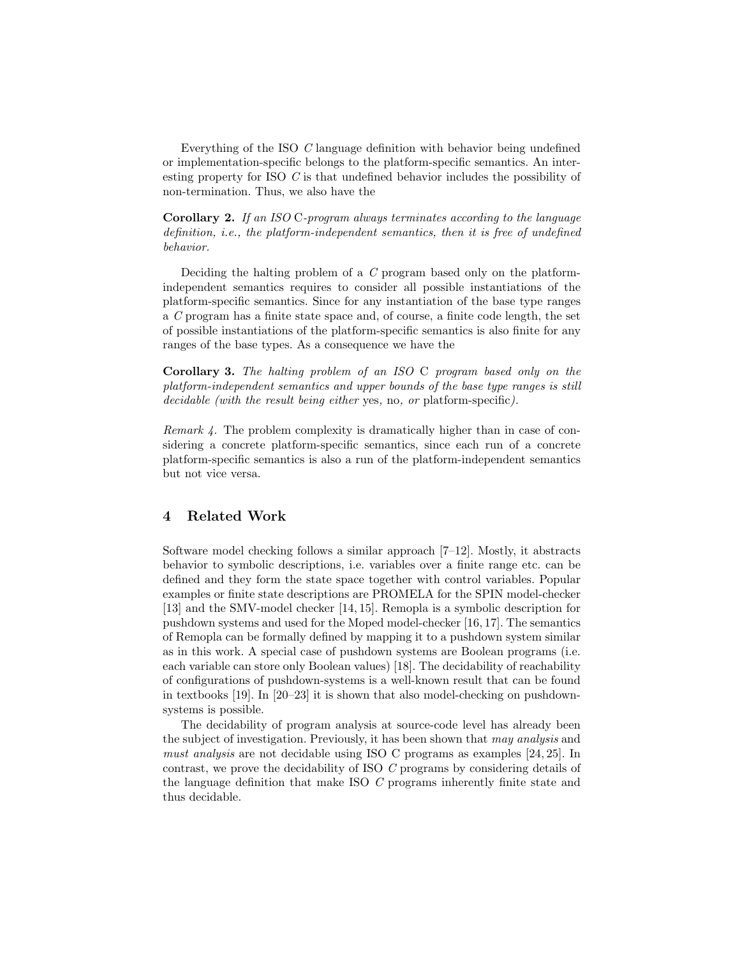Everything of the ISO C language definition with behavior being undefined or implementation-specific belongs to the platform-specific semantics. An interesting property for ISO C is that undefined behavior includes the possibility of non-termination. Thus, we also have the

Corollary 2. If an ISO C-program always terminates according to the language definition, i.e., the platform-independent semantics, then it is free of undefined behavior.

Deciding the halting problem of a C program based only on the platformindependent semantics requires to consider all possible instantiations of the platform-specific semantics. Since for any instantiation of the base type ranges a C program has a finite state space and, of course, a finite code length, the set of possible instantiations of the platform-specific semantics is also finite for any ranges of the base types. As a consequence we have the

Corollary 3. The halting problem of an ISO C program based only on the platform-independent semantics and upper bounds of the base type ranges is still decidable (with the result being either yes, no, or platform-specific).

Remark 4. The problem complexity is dramatically higher than in case of considering a concrete platform-specific semantics, since each run of a concrete platform-specific semantics is also a run of the platform-independent semantics but not vice versa.

# 4 Related Work

Software model checking follows a similar approach [7–12]. Mostly, it abstracts behavior to symbolic descriptions, i.e. variables over a finite range etc. can be defined and they form the state space together with control variables. Popular examples or finite state descriptions are PROMELA for the SPIN model-checker [13] and the SMV-model checker [14, 15]. Remopla is a symbolic description for pushdown systems and used for the Moped model-checker [16, 17]. The semantics of Remopla can be formally defined by mapping it to a pushdown system similar as in this work. A special case of pushdown systems are Boolean programs (i.e. each variable can store only Boolean values) [18]. The decidability of reachability of configurations of pushdown-systems is a well-known result that can be found in textbooks [19]. In [20–23] it is shown that also model-checking on pushdownsystems is possible.

The decidability of program analysis at source-code level has already been the subject of investigation. Previously, it has been shown that may analysis and must analysis are not decidable using ISO C programs as examples [24, 25]. In contrast, we prove the decidability of ISO C programs by considering details of the language definition that make ISO C programs inherently finite state and thus decidable.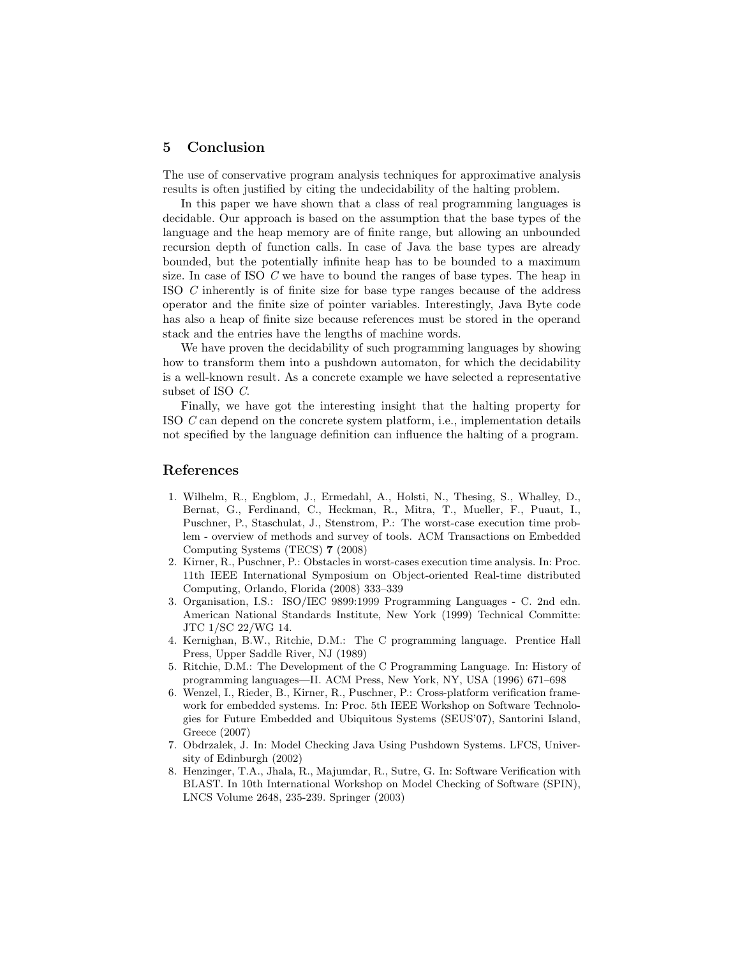## 5 Conclusion

The use of conservative program analysis techniques for approximative analysis results is often justified by citing the undecidability of the halting problem.

In this paper we have shown that a class of real programming languages is decidable. Our approach is based on the assumption that the base types of the language and the heap memory are of finite range, but allowing an unbounded recursion depth of function calls. In case of Java the base types are already bounded, but the potentially infinite heap has to be bounded to a maximum size. In case of ISO C we have to bound the ranges of base types. The heap in ISO C inherently is of finite size for base type ranges because of the address operator and the finite size of pointer variables. Interestingly, Java Byte code has also a heap of finite size because references must be stored in the operand stack and the entries have the lengths of machine words.

We have proven the decidability of such programming languages by showing how to transform them into a pushdown automaton, for which the decidability is a well-known result. As a concrete example we have selected a representative subset of ISO C.

Finally, we have got the interesting insight that the halting property for ISO C can depend on the concrete system platform, i.e., implementation details not specified by the language definition can influence the halting of a program.

## References

- 1. Wilhelm, R., Engblom, J., Ermedahl, A., Holsti, N., Thesing, S., Whalley, D., Bernat, G., Ferdinand, C., Heckman, R., Mitra, T., Mueller, F., Puaut, I., Puschner, P., Staschulat, J., Stenstrom, P.: The worst-case execution time problem - overview of methods and survey of tools. ACM Transactions on Embedded Computing Systems (TECS) 7 (2008)
- 2. Kirner, R., Puschner, P.: Obstacles in worst-cases execution time analysis. In: Proc. 11th IEEE International Symposium on Object-oriented Real-time distributed Computing, Orlando, Florida (2008) 333–339
- 3. Organisation, I.S.: ISO/IEC 9899:1999 Programming Languages C. 2nd edn. American National Standards Institute, New York (1999) Technical Committe: JTC 1/SC 22/WG 14.
- 4. Kernighan, B.W., Ritchie, D.M.: The C programming language. Prentice Hall Press, Upper Saddle River, NJ (1989)
- 5. Ritchie, D.M.: The Development of the C Programming Language. In: History of programming languages—II. ACM Press, New York, NY, USA (1996) 671–698
- 6. Wenzel, I., Rieder, B., Kirner, R., Puschner, P.: Cross-platform verification framework for embedded systems. In: Proc. 5th IEEE Workshop on Software Technologies for Future Embedded and Ubiquitous Systems (SEUS'07), Santorini Island, Greece (2007)
- 7. Obdrzalek, J. In: Model Checking Java Using Pushdown Systems. LFCS, University of Edinburgh (2002)
- 8. Henzinger, T.A., Jhala, R., Majumdar, R., Sutre, G. In: Software Verification with BLAST. In 10th International Workshop on Model Checking of Software (SPIN), LNCS Volume 2648, 235-239. Springer (2003)